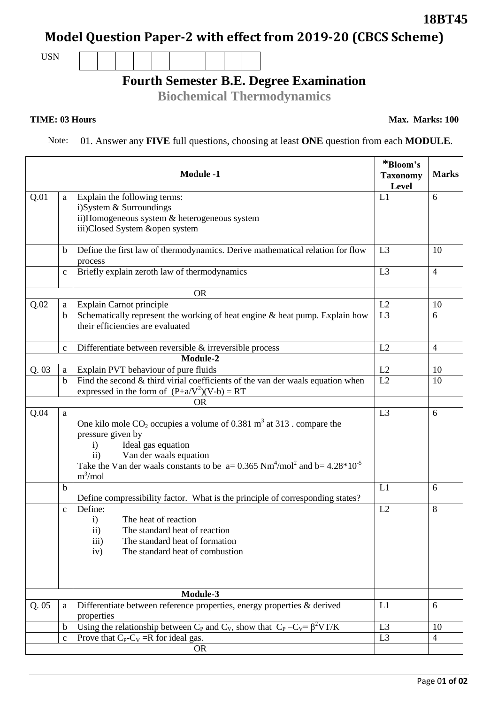Page 0**1 of 02**

## **18BT45**

**Model Question Paper-2 with effect from 2019-20 (CBCS Scheme)**

USN

## **Fourth Semester B.E. Degree Examination**

**Biochemical Thermodynamics** 

**TIME: 03 Hours Max. Marks: 100** 

Note: 01. Answer any **FIVE** full questions, choosing at least **ONE** question from each **MODULE**.

|      |              | <b>Module -1</b>                                                                                                                                                                                                                                                                                                            | *Bloom's<br><b>Taxonomy</b><br><b>Level</b> | <b>Marks</b>   |
|------|--------------|-----------------------------------------------------------------------------------------------------------------------------------------------------------------------------------------------------------------------------------------------------------------------------------------------------------------------------|---------------------------------------------|----------------|
| Q.01 | a            | Explain the following terms:<br>i)System & Surroundings<br>ii)Homogeneous system & heterogeneous system<br>iii)Closed System &open system                                                                                                                                                                                   | L1                                          | 6              |
|      | $\mathbf b$  | Define the first law of thermodynamics. Derive mathematical relation for flow<br>process                                                                                                                                                                                                                                    | L3                                          | 10             |
|      | $\mathbf c$  | Briefly explain zeroth law of thermodynamics                                                                                                                                                                                                                                                                                | L <sub>3</sub>                              | $\overline{4}$ |
|      |              | <b>OR</b>                                                                                                                                                                                                                                                                                                                   |                                             |                |
| Q.02 | a            | Explain Carnot principle                                                                                                                                                                                                                                                                                                    | L2                                          | 10             |
|      | $\mathbf b$  | Schematically represent the working of heat engine & heat pump. Explain how<br>their efficiencies are evaluated                                                                                                                                                                                                             | L <sub>3</sub>                              | 6              |
|      | $\mathbf c$  | Differentiate between reversible & irreversible process                                                                                                                                                                                                                                                                     | L2                                          | $\overline{4}$ |
|      |              | Module-2                                                                                                                                                                                                                                                                                                                    |                                             |                |
| Q.03 | a            | Explain PVT behaviour of pure fluids                                                                                                                                                                                                                                                                                        | L2                                          | 10             |
|      | $\mathbf b$  | Find the second $&$ third virial coefficients of the van der waals equation when<br>expressed in the form of $(P+a/V^2)(V-b) = RT$                                                                                                                                                                                          | L2                                          | 10             |
|      |              | <b>OR</b>                                                                                                                                                                                                                                                                                                                   |                                             |                |
| Q.04 | a            | One kilo mole $CO_2$ occupies a volume of 0.381 m <sup>3</sup> at 313. compare the<br>pressure given by<br>Ideal gas equation<br>$\mathbf{i}$<br>Van der waals equation<br>$\mathbf{ii}$<br>Take the Van der waals constants to be $a = 0.365$ Nm <sup>4</sup> /mol <sup>2</sup> and b= 4.28*10 <sup>-5</sup><br>$m^3$ /mol | L <sub>3</sub>                              | 6              |
|      | $\mathbf b$  | Define compressibility factor. What is the principle of corresponding states?                                                                                                                                                                                                                                               | L1                                          | 6              |
|      | $\mathbf{C}$ | Define:<br>The heat of reaction<br>$\mathbf{i}$<br>$\mathbf{ii}$<br>The standard heat of reaction<br>The standard heat of formation<br>$\overline{\text{iii}}$<br>The standard heat of combustion<br>iv)                                                                                                                    | L2                                          | 8              |
|      |              | Module-3                                                                                                                                                                                                                                                                                                                    |                                             |                |
| Q.05 | a            | Differentiate between reference properties, energy properties & derived<br>properties                                                                                                                                                                                                                                       | L1                                          | 6              |
|      | $\mathbf b$  | Using the relationship between $C_P$ and $C_V$ , show that $C_P - C_V = \beta^2 V T/K$                                                                                                                                                                                                                                      | L <sub>3</sub>                              | 10             |
|      | $\mathbf c$  | Prove that $C_P-C_V=R$ for ideal gas.                                                                                                                                                                                                                                                                                       | L <sub>3</sub>                              | $\overline{4}$ |
|      |              | <b>OR</b>                                                                                                                                                                                                                                                                                                                   |                                             |                |